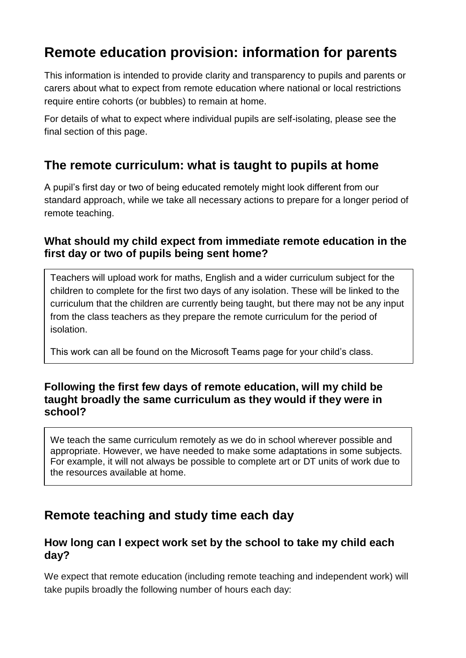# **Remote education provision: information for parents**

This information is intended to provide clarity and transparency to pupils and parents or carers about what to expect from remote education where national or local restrictions require entire cohorts (or bubbles) to remain at home.

For details of what to expect where individual pupils are self-isolating, please see the final section of this page.

## **The remote curriculum: what is taught to pupils at home**

A pupil's first day or two of being educated remotely might look different from our standard approach, while we take all necessary actions to prepare for a longer period of remote teaching.

## **What should my child expect from immediate remote education in the first day or two of pupils being sent home?**

Teachers will upload work for maths, English and a wider curriculum subject for the children to complete for the first two days of any isolation. These will be linked to the curriculum that the children are currently being taught, but there may not be any input from the class teachers as they prepare the remote curriculum for the period of isolation.

This work can all be found on the Microsoft Teams page for your child's class.

#### **Following the first few days of remote education, will my child be taught broadly the same curriculum as they would if they were in school?**

We teach the same curriculum remotely as we do in school wherever possible and appropriate. However, we have needed to make some adaptations in some subjects. For example, it will not always be possible to complete art or DT units of work due to the resources available at home.

# **Remote teaching and study time each day**

## **How long can I expect work set by the school to take my child each day?**

We expect that remote education (including remote teaching and independent work) will take pupils broadly the following number of hours each day: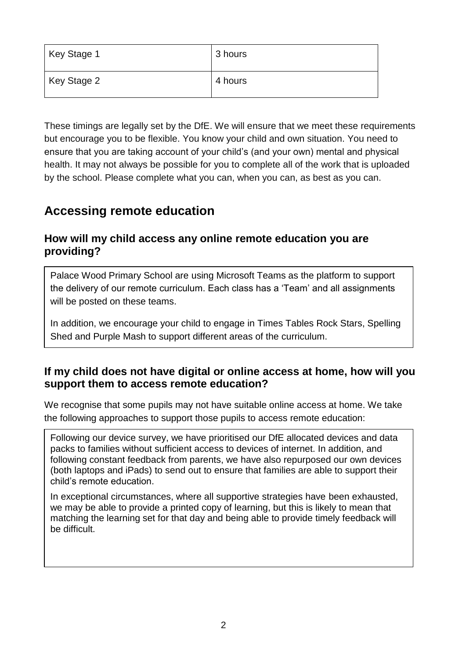| Key Stage 1 | 3 hours |
|-------------|---------|
| Key Stage 2 | 4 hours |

These timings are legally set by the DfE. We will ensure that we meet these requirements but encourage you to be flexible. You know your child and own situation. You need to ensure that you are taking account of your child's (and your own) mental and physical health. It may not always be possible for you to complete all of the work that is uploaded by the school. Please complete what you can, when you can, as best as you can.

## **Accessing remote education**

### **How will my child access any online remote education you are providing?**

Palace Wood Primary School are using Microsoft Teams as the platform to support the delivery of our remote curriculum. Each class has a 'Team' and all assignments will be posted on these teams.

In addition, we encourage your child to engage in Times Tables Rock Stars, Spelling Shed and Purple Mash to support different areas of the curriculum.

## **If my child does not have digital or online access at home, how will you support them to access remote education?**

We recognise that some pupils may not have suitable online access at home. We take the following approaches to support those pupils to access remote education:

Following our device survey, we have prioritised our DfE allocated devices and data packs to families without sufficient access to devices of internet. In addition, and following constant feedback from parents, we have also repurposed our own devices (both laptops and iPads) to send out to ensure that families are able to support their child's remote education.

In exceptional circumstances, where all supportive strategies have been exhausted, we may be able to provide a printed copy of learning, but this is likely to mean that matching the learning set for that day and being able to provide timely feedback will be difficult.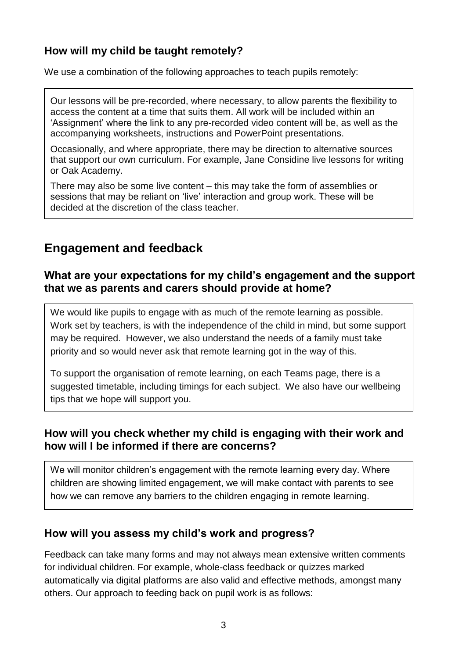## **How will my child be taught remotely?**

We use a combination of the following approaches to teach pupils remotely:

Our lessons will be pre-recorded, where necessary, to allow parents the flexibility to access the content at a time that suits them. All work will be included within an 'Assignment' where the link to any pre-recorded video content will be, as well as the accompanying worksheets, instructions and PowerPoint presentations.

Occasionally, and where appropriate, there may be direction to alternative sources that support our own curriculum. For example, Jane Considine live lessons for writing or Oak Academy.

There may also be some live content – this may take the form of assemblies or sessions that may be reliant on 'live' interaction and group work. These will be decided at the discretion of the class teacher.

## **Engagement and feedback**

### **What are your expectations for my child's engagement and the support that we as parents and carers should provide at home?**

We would like pupils to engage with as much of the remote learning as possible. Work set by teachers, is with the independence of the child in mind, but some support may be required. However, we also understand the needs of a family must take priority and so would never ask that remote learning got in the way of this.

To support the organisation of remote learning, on each Teams page, there is a suggested timetable, including timings for each subject. We also have our wellbeing tips that we hope will support you.

## **How will you check whether my child is engaging with their work and how will I be informed if there are concerns?**

We will monitor children's engagement with the remote learning every day. Where children are showing limited engagement, we will make contact with parents to see how we can remove any barriers to the children engaging in remote learning.

## **How will you assess my child's work and progress?**

Feedback can take many forms and may not always mean extensive written comments for individual children. For example, whole-class feedback or quizzes marked automatically via digital platforms are also valid and effective methods, amongst many others. Our approach to feeding back on pupil work is as follows: